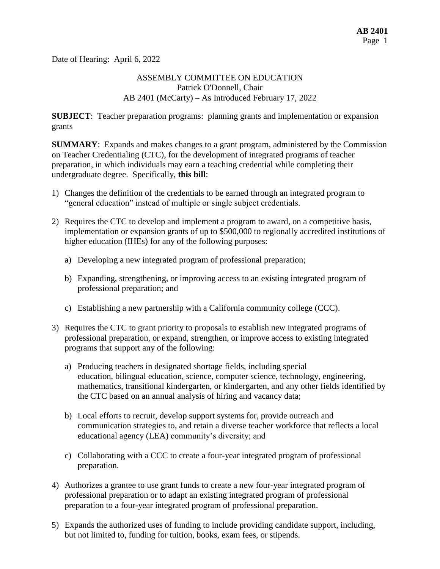Date of Hearing: April 6, 2022

#### ASSEMBLY COMMITTEE ON EDUCATION Patrick O'Donnell, Chair AB 2401 (McCarty) – As Introduced February 17, 2022

**SUBJECT**: Teacher preparation programs: planning grants and implementation or expansion grants

**SUMMARY**: Expands and makes changes to a grant program, administered by the Commission on Teacher Credentialing (CTC), for the development of integrated programs of teacher preparation, in which individuals may earn a teaching credential while completing their undergraduate degree. Specifically, **this bill**:

- 1) Changes the definition of the credentials to be earned through an integrated program to "general education" instead of multiple or single subject credentials.
- 2) Requires the CTC to develop and implement a program to award, on a competitive basis, implementation or expansion grants of up to \$500,000 to regionally accredited institutions of higher education (IHEs) for any of the following purposes:
	- a) Developing a new integrated program of professional preparation;
	- b) Expanding, strengthening, or improving access to an existing integrated program of professional preparation; and
	- c) Establishing a new partnership with a California community college (CCC).
- 3) Requires the CTC to grant priority to proposals to establish new integrated programs of professional preparation, or expand, strengthen, or improve access to existing integrated programs that support any of the following:
	- a) Producing teachers in designated shortage fields, including special education, bilingual education, science, computer science, technology, engineering, mathematics, transitional kindergarten, or kindergarten, and any other fields identified by the CTC based on an annual analysis of hiring and vacancy data;
	- b) Local efforts to recruit, develop support systems for, provide outreach and communication strategies to, and retain a diverse teacher workforce that reflects a local educational agency (LEA) community's diversity; and
	- c) Collaborating with a CCC to create a four-year integrated program of professional preparation.
- 4) Authorizes a grantee to use grant funds to create a new four-year integrated program of professional preparation or to adapt an existing integrated program of professional preparation to a four-year integrated program of professional preparation.
- 5) Expands the authorized uses of funding to include providing candidate support, including, but not limited to, funding for tuition, books, exam fees, or stipends.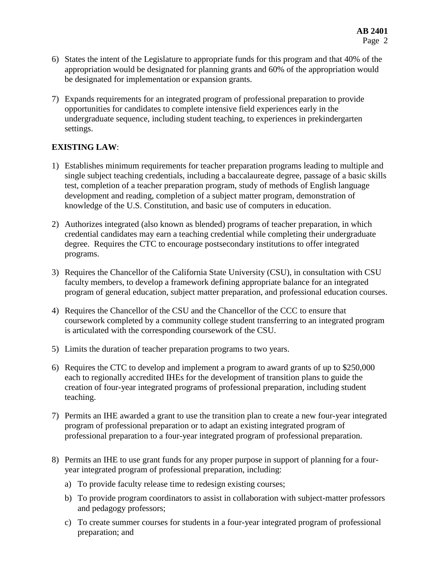- 6) States the intent of the Legislature to appropriate funds for this program and that 40% of the appropriation would be designated for planning grants and 60% of the appropriation would be designated for implementation or expansion grants.
- 7) Expands requirements for an integrated program of professional preparation to provide opportunities for candidates to complete intensive field experiences early in the undergraduate sequence, including student teaching, to experiences in prekindergarten settings.

# **EXISTING LAW**:

- 1) Establishes minimum requirements for teacher preparation programs leading to multiple and single subject teaching credentials, including a baccalaureate degree, passage of a basic skills test, completion of a teacher preparation program, study of methods of English language development and reading, completion of a subject matter program, demonstration of knowledge of the U.S. Constitution, and basic use of computers in education.
- 2) Authorizes integrated (also known as blended) programs of teacher preparation, in which credential candidates may earn a teaching credential while completing their undergraduate degree. Requires the CTC to encourage postsecondary institutions to offer integrated programs.
- 3) Requires the Chancellor of the California State University (CSU), in consultation with CSU faculty members, to develop a framework defining appropriate balance for an integrated program of general education, subject matter preparation, and professional education courses.
- 4) Requires the Chancellor of the CSU and the Chancellor of the CCC to ensure that coursework completed by a community college student transferring to an integrated program is articulated with the corresponding coursework of the CSU.
- 5) Limits the duration of teacher preparation programs to two years.
- 6) Requires the CTC to develop and implement a program to award grants of up to \$250,000 each to regionally accredited IHEs for the development of transition plans to guide the creation of four-year integrated programs of professional preparation, including student teaching.
- 7) Permits an IHE awarded a grant to use the transition plan to create a new four-year integrated program of professional preparation or to adapt an existing integrated program of professional preparation to a four-year integrated program of professional preparation.
- 8) Permits an IHE to use grant funds for any proper purpose in support of planning for a fouryear integrated program of professional preparation, including:
	- a) To provide faculty release time to redesign existing courses;
	- b) To provide program coordinators to assist in collaboration with subject-matter professors and pedagogy professors;
	- c) To create summer courses for students in a four-year integrated program of professional preparation; and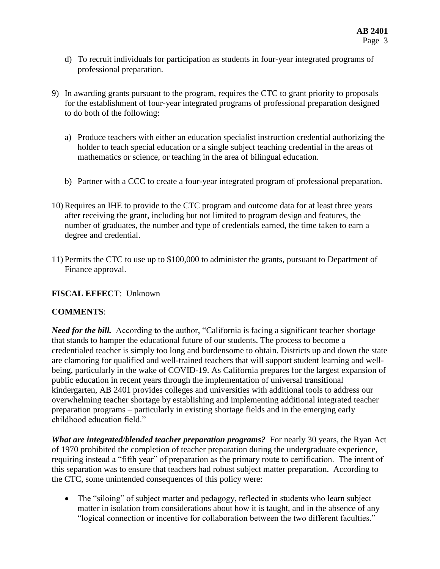- d) To recruit individuals for participation as students in four-year integrated programs of professional preparation.
- 9) In awarding grants pursuant to the program, requires the CTC to grant priority to proposals for the establishment of four-year integrated programs of professional preparation designed to do both of the following:
	- a) Produce teachers with either an education specialist instruction credential authorizing the holder to teach special education or a single subject teaching credential in the areas of mathematics or science, or teaching in the area of bilingual education.
	- b) Partner with a CCC to create a four-year integrated program of professional preparation.
- 10) Requires an IHE to provide to the CTC program and outcome data for at least three years after receiving the grant, including but not limited to program design and features, the number of graduates, the number and type of credentials earned, the time taken to earn a degree and credential.
- 11) Permits the CTC to use up to \$100,000 to administer the grants, pursuant to Department of Finance approval.

### **FISCAL EFFECT**: Unknown

### **COMMENTS**:

*Need for the bill.* According to the author, "California is facing a significant teacher shortage that stands to hamper the educational future of our students. The process to become a credentialed teacher is simply too long and burdensome to obtain. Districts up and down the state are clamoring for qualified and well-trained teachers that will support student learning and wellbeing, particularly in the wake of COVID-19. As California prepares for the largest expansion of public education in recent years through the implementation of universal transitional kindergarten, AB 2401 provides colleges and universities with additional tools to address our overwhelming teacher shortage by establishing and implementing additional integrated teacher preparation programs – particularly in existing shortage fields and in the emerging early childhood education field."

*What are integrated/blended teacher preparation programs?* For nearly 30 years, the Ryan Act of 1970 prohibited the completion of teacher preparation during the undergraduate experience, requiring instead a "fifth year" of preparation as the primary route to certification. The intent of this separation was to ensure that teachers had robust subject matter preparation. According to the CTC, some unintended consequences of this policy were:

• The "siloing" of subject matter and pedagogy, reflected in students who learn subject matter in isolation from considerations about how it is taught, and in the absence of any "logical connection or incentive for collaboration between the two different faculties."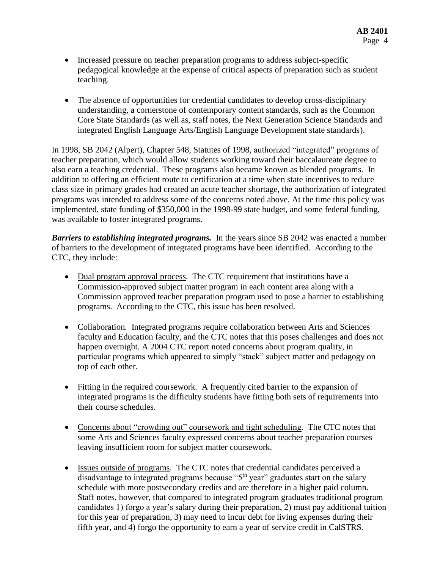- Increased pressure on teacher preparation programs to address subject-specific pedagogical knowledge at the expense of critical aspects of preparation such as student teaching.
- The absence of opportunities for credential candidates to develop cross-disciplinary understanding, a cornerstone of contemporary content standards, such as the Common Core State Standards (as well as, staff notes, the Next Generation Science Standards and integrated English Language Arts/English Language Development state standards).

In 1998, SB 2042 (Alpert), Chapter 548, Statutes of 1998, authorized "integrated" programs of teacher preparation, which would allow students working toward their baccalaureate degree to also earn a teaching credential. These programs also became known as blended programs. In addition to offering an efficient route to certification at a time when state incentives to reduce class size in primary grades had created an acute teacher shortage, the authorization of integrated programs was intended to address some of the concerns noted above. At the time this policy was implemented, state funding of \$350,000 in the 1998-99 state budget, and some federal funding, was available to foster integrated programs.

*Barriers to establishing integrated programs.* In the years since SB 2042 was enacted a number of barriers to the development of integrated programs have been identified. According to the CTC, they include:

- Dual program approval process. The CTC requirement that institutions have a Commission-approved subject matter program in each content area along with a Commission approved teacher preparation program used to pose a barrier to establishing programs. According to the CTC, this issue has been resolved.
- Collaboration*.* Integrated programs require collaboration between Arts and Sciences faculty and Education faculty, and the CTC notes that this poses challenges and does not happen overnight. A 2004 CTC report noted concerns about program quality, in particular programs which appeared to simply "stack" subject matter and pedagogy on top of each other.
- Fitting in the required coursework*.* A frequently cited barrier to the expansion of integrated programs is the difficulty students have fitting both sets of requirements into their course schedules.
- Concerns about "crowding out" coursework and tight scheduling*.* The CTC notes that some Arts and Sciences faculty expressed concerns about teacher preparation courses leaving insufficient room for subject matter coursework.
- Issues outside of programs*.* The CTC notes that credential candidates perceived a disadvantage to integrated programs because "5<sup>th</sup> year" graduates start on the salary schedule with more postsecondary credits and are therefore in a higher paid column. Staff notes, however, that compared to integrated program graduates traditional program candidates 1) forgo a year's salary during their preparation, 2) must pay additional tuition for this year of preparation, 3) may need to incur debt for living expenses during their fifth year, and 4) forgo the opportunity to earn a year of service credit in CalSTRS.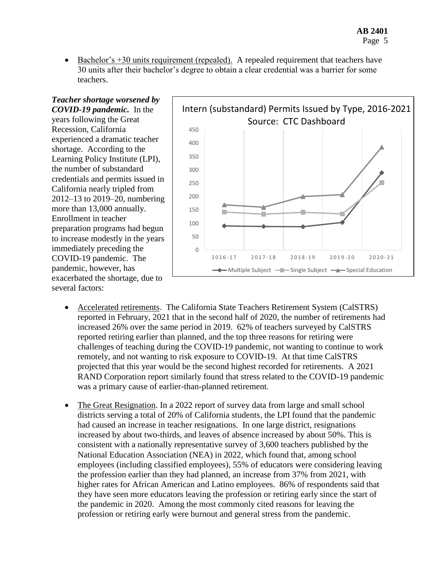Bachelor's +30 units requirement (repealed).A repealed requirement that teachers have 30 units after their bachelor's degree to obtain a clear credential was a barrier for some teachers.

*Teacher shortage worsened by COVID-19 pandemic.* In the years following the Great Recession, California experienced a dramatic teacher shortage. According to the Learning Policy Institute (LPI), the number of substandard credentials and permits issued in California nearly tripled from 2012–13 to 2019–20, numbering more than 13,000 annually. Enrollment in teacher preparation programs had begun to increase modestly in the years immediately preceding the COVID-19 pandemic. The pandemic, however, has exacerbated the shortage, due to several factors:



- Accelerated retirements. The California State Teachers Retirement System (CalSTRS) reported in February, 2021 that in the second half of 2020, the number of retirements had increased 26% over the same period in 2019. 62% of teachers surveyed by CalSTRS reported retiring earlier than planned, and the top three reasons for retiring were challenges of teaching during the COVID-19 pandemic, not wanting to continue to work remotely, and not wanting to risk exposure to COVID-19. At that time CalSTRS projected that this year would be the second highest recorded for retirements. A 2021 RAND Corporation report similarly found that stress related to the COVID-19 pandemic was a primary cause of earlier-than-planned retirement.
- The Great Resignation. In a 2022 report of survey data from large and small school districts serving a total of 20% of California students, the LPI found that the pandemic had caused an increase in teacher resignations. In one large district, resignations increased by about two-thirds, and leaves of absence increased by about 50%. This is consistent with a nationally representative survey of 3,600 teachers published by the National Education Association (NEA) in 2022, which found that, among school employees (including classified employees), 55% of educators were considering leaving the profession earlier than they had planned, an increase from 37% from 2021, with higher rates for African American and Latino employees. 86% of respondents said that they have seen more educators leaving the profession or retiring early since the start of the pandemic in 2020. Among the most commonly cited reasons for leaving the profession or retiring early were burnout and general stress from the pandemic.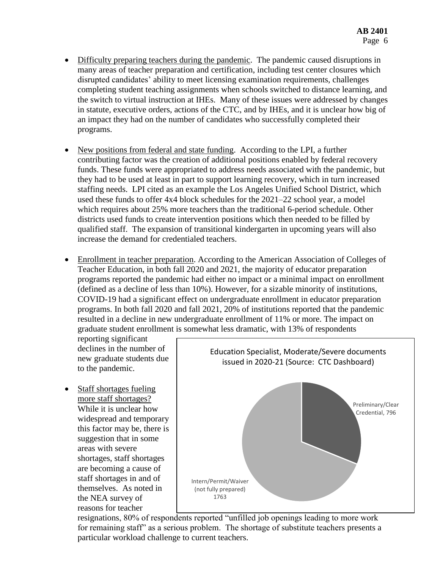- Difficulty preparing teachers during the pandemic. The pandemic caused disruptions in many areas of teacher preparation and certification, including test center closures which disrupted candidates' ability to meet licensing examination requirements, challenges completing student teaching assignments when schools switched to distance learning, and the switch to virtual instruction at IHEs. Many of these issues were addressed by changes in statute, executive orders, actions of the CTC, and by IHEs, and it is unclear how big of an impact they had on the number of candidates who successfully completed their programs.
- New positions from federal and state funding. According to the LPI, a further contributing factor was the creation of additional positions enabled by federal recovery funds. These funds were appropriated to address needs associated with the pandemic, but they had to be used at least in part to support learning recovery, which in turn increased staffing needs. LPI cited as an example the Los Angeles Unified School District, which used these funds to offer 4x4 block schedules for the 2021–22 school year, a model which requires about 25% more teachers than the traditional 6-period schedule. Other districts used funds to create intervention positions which then needed to be filled by qualified staff. The expansion of transitional kindergarten in upcoming years will also increase the demand for credentialed teachers.
- Enrollment in teacher preparation. According to the American Association of Colleges of Teacher Education, in both fall 2020 and 2021, the majority of educator preparation programs reported the pandemic had either no impact or a minimal impact on enrollment (defined as a decline of less than 10%). However, for a sizable minority of institutions, COVID-19 had a significant effect on undergraduate enrollment in educator preparation programs. In both fall 2020 and fall 2021, 20% of institutions reported that the pandemic resulted in a decline in new undergraduate enrollment of 11% or more. The impact on graduate student enrollment is somewhat less dramatic, with 13% of respondents

reporting significant declines in the number of new graduate students due to the pandemic.

• Staff shortages fueling more staff shortages? While it is unclear how widespread and temporary this factor may be, there is suggestion that in some areas with severe shortages, staff shortages are becoming a cause of staff shortages in and of themselves. As noted in the NEA survey of reasons for teacher



resignations, 80% of respondents reported "unfilled job openings leading to more work for remaining staff" as a serious problem. The shortage of substitute teachers presents a particular workload challenge to current teachers.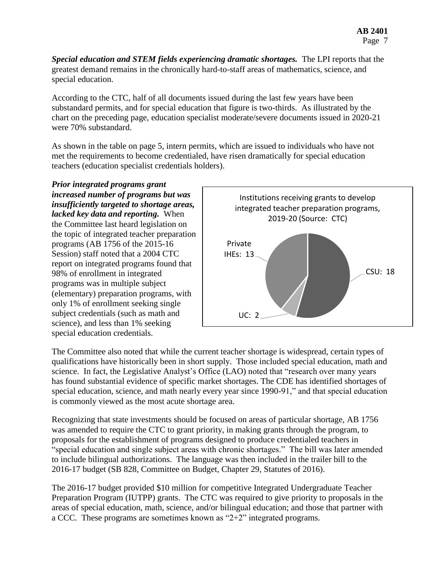*Special education and STEM fields experiencing dramatic shortages.* The LPI reports that the greatest demand remains in the chronically hard-to-staff areas of mathematics, science, and special education.

According to the CTC, half of all documents issued during the last few years have been substandard permits, and for special education that figure is two-thirds. As illustrated by the chart on the preceding page, education specialist moderate/severe documents issued in 2020-21 were 70% substandard.

As shown in the table on page 5, intern permits, which are issued to individuals who have not met the requirements to become credentialed, have risen dramatically for special education teachers (education specialist credentials holders).

*Prior integrated programs grant increased number of programs but was insufficiently targeted to shortage areas, lacked key data and reporting.* When the Committee last heard legislation on the topic of integrated teacher preparation programs (AB 1756 of the 2015-16 Session) staff noted that a 2004 CTC report on integrated programs found that 98% of enrollment in integrated programs was in multiple subject (elementary) preparation programs, with only 1% of enrollment seeking single subject credentials (such as math and science), and less than 1% seeking special education credentials.



The Committee also noted that while the current teacher shortage is widespread, certain types of qualifications have historically been in short supply. Those included special education, math and science. In fact, the Legislative Analyst's Office (LAO) noted that "research over many years has found substantial evidence of specific market shortages. The CDE has identified shortages of special education, science, and math nearly every year since 1990-91," and that special education is commonly viewed as the most acute shortage area.

Recognizing that state investments should be focused on areas of particular shortage, AB 1756 was amended to require the CTC to grant priority, in making grants through the program, to proposals for the establishment of programs designed to produce credentialed teachers in "special education and single subject areas with chronic shortages." The bill was later amended to include bilingual authorizations. The language was then included in the trailer bill to the 2016-17 budget (SB 828, Committee on Budget, Chapter 29, Statutes of 2016).

The 2016-17 budget provided \$10 million for competitive Integrated Undergraduate Teacher Preparation Program (IUTPP) grants. The CTC was required to give priority to proposals in the areas of special education, math, science, and/or bilingual education; and those that partner with a CCC. These programs are sometimes known as "2+2" integrated programs.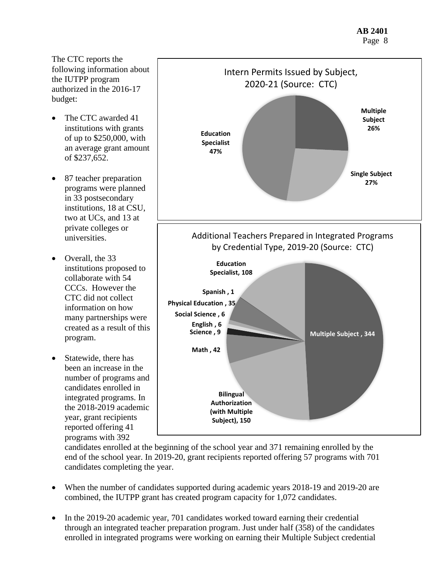The CTC reports the following information about the IUTPP program authorized in the 2016-17 budget:

- The CTC awarded 41 institutions with grants of up to \$250,000, with an average grant amount of \$237,652.
- 87 teacher preparation programs were planned in 33 postsecondary institutions, 18 at CSU, two at UCs, and 13 at private colleges or universities.
- Overall, the 33 institutions proposed to collaborate with 54 CCCs. However the CTC did not collect information on how many partnerships were created as a result of this program.
- Statewide, there has been an increase in the number of programs and candidates enrolled in integrated programs. In the 2018-2019 academic year, grant recipients reported offering 41 programs with 392



candidates enrolled at the beginning of the school year and 371 remaining enrolled by the end of the school year. In 2019-20, grant recipients reported offering 57 programs with 701 candidates completing the year.

- When the number of candidates supported during academic years 2018-19 and 2019-20 are combined, the IUTPP grant has created program capacity for 1,072 candidates.
- In the 2019-20 academic year, 701 candidates worked toward earning their credential through an integrated teacher preparation program. Just under half (358) of the candidates enrolled in integrated programs were working on earning their Multiple Subject credential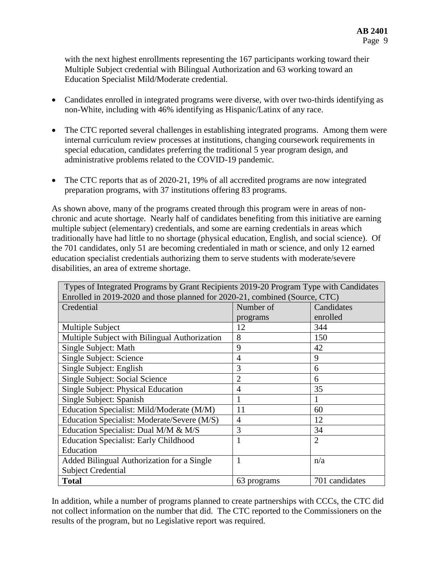with the next highest enrollments representing the 167 participants working toward their Multiple Subject credential with Bilingual Authorization and 63 working toward an Education Specialist Mild/Moderate credential.

- Candidates enrolled in integrated programs were diverse, with over two-thirds identifying as non-White, including with 46% identifying as Hispanic/Latinx of any race.
- The CTC reported several challenges in establishing integrated programs. Among them were internal curriculum review processes at institutions, changing coursework requirements in special education, candidates preferring the traditional 5 year program design, and administrative problems related to the COVID-19 pandemic.
- The CTC reports that as of 2020-21, 19% of all accredited programs are now integrated preparation programs, with 37 institutions offering 83 programs.

As shown above, many of the programs created through this program were in areas of nonchronic and acute shortage. Nearly half of candidates benefiting from this initiative are earning multiple subject (elementary) credentials, and some are earning credentials in areas which traditionally have had little to no shortage (physical education, English, and social science). Of the 701 candidates, only 51 are becoming credentialed in math or science, and only 12 earned education specialist credentials authorizing them to serve students with moderate/severe disabilities, an area of extreme shortage.

| Types of Integrated Programs by Grant Recipients 2019-20 Program Type with Candidates |                |                |
|---------------------------------------------------------------------------------------|----------------|----------------|
| Enrolled in 2019-2020 and those planned for 2020-21, combined (Source, CTC)           |                |                |
| Credential                                                                            | Number of      | Candidates     |
|                                                                                       | programs       | enrolled       |
| Multiple Subject                                                                      | 12             | 344            |
| Multiple Subject with Bilingual Authorization                                         | 8              | 150            |
| Single Subject: Math                                                                  | 9              | 42             |
| Single Subject: Science                                                               | 4              | 9              |
| Single Subject: English                                                               | 3              | 6              |
| Single Subject: Social Science                                                        | $\overline{2}$ | 6              |
| Single Subject: Physical Education                                                    | 4              | 35             |
| Single Subject: Spanish                                                               |                |                |
| Education Specialist: Mild/Moderate (M/M)                                             | 11             | 60             |
| Education Specialist: Moderate/Severe (M/S)                                           | 4              | 12             |
| Education Specialist: Dual M/M & M/S                                                  | 3              | 34             |
| <b>Education Specialist: Early Childhood</b>                                          |                | $\overline{2}$ |
| Education                                                                             |                |                |
| Added Bilingual Authorization for a Single                                            | Т.             | n/a            |
| <b>Subject Credential</b>                                                             |                |                |
| <b>Total</b>                                                                          | 63 programs    | 701 candidates |

In addition, while a number of programs planned to create partnerships with CCCs, the CTC did not collect information on the number that did. The CTC reported to the Commissioners on the results of the program, but no Legislative report was required.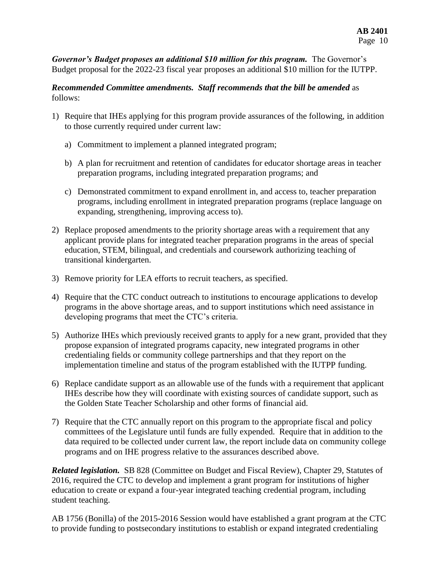*Governor's Budget proposes an additional \$10 million for this program.* The Governor's Budget proposal for the 2022-23 fiscal year proposes an additional \$10 million for the IUTPP.

#### *Recommended Committee amendments. Staff recommends that the bill be amended* as follows:

- 1) Require that IHEs applying for this program provide assurances of the following, in addition to those currently required under current law:
	- a) Commitment to implement a planned integrated program;
	- b) A plan for recruitment and retention of candidates for educator shortage areas in teacher preparation programs, including integrated preparation programs; and
	- c) Demonstrated commitment to expand enrollment in, and access to, teacher preparation programs, including enrollment in integrated preparation programs (replace language on expanding, strengthening, improving access to).
- 2) Replace proposed amendments to the priority shortage areas with a requirement that any applicant provide plans for integrated teacher preparation programs in the areas of special education, STEM, bilingual, and credentials and coursework authorizing teaching of transitional kindergarten.
- 3) Remove priority for LEA efforts to recruit teachers, as specified.
- 4) Require that the CTC conduct outreach to institutions to encourage applications to develop programs in the above shortage areas, and to support institutions which need assistance in developing programs that meet the CTC's criteria.
- 5) Authorize IHEs which previously received grants to apply for a new grant, provided that they propose expansion of integrated programs capacity, new integrated programs in other credentialing fields or community college partnerships and that they report on the implementation timeline and status of the program established with the IUTPP funding.
- 6) Replace candidate support as an allowable use of the funds with a requirement that applicant IHEs describe how they will coordinate with existing sources of candidate support, such as the Golden State Teacher Scholarship and other forms of financial aid.
- 7) Require that the CTC annually report on this program to the appropriate fiscal and policy committees of the Legislature until funds are fully expended. Require that in addition to the data required to be collected under current law, the report include data on community college programs and on IHE progress relative to the assurances described above.

*Related legislation.* SB 828 (Committee on Budget and Fiscal Review), Chapter 29, Statutes of 2016, required the CTC to develop and implement a grant program for institutions of higher education to create or expand a four-year integrated teaching credential program, including student teaching.

AB 1756 (Bonilla) of the 2015-2016 Session would have established a grant program at the CTC to provide funding to postsecondary institutions to establish or expand integrated credentialing